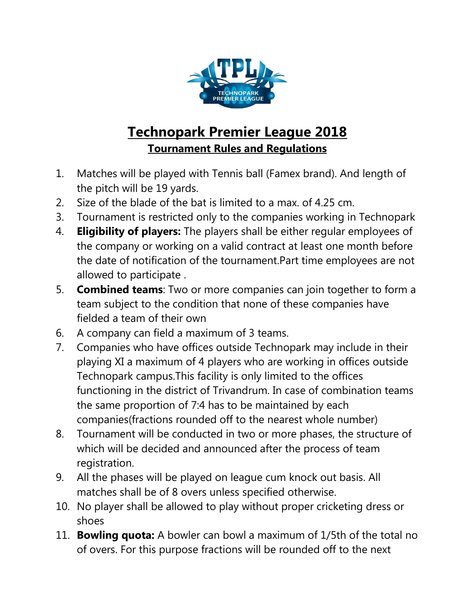

## **Technopark Premier League 2018 Tournament Rules and Regulations**

- 1. Matches will be played with Tennis ball (Famex brand). And length of the pitch will be 19 yards.
- 2. Size of the blade of the bat is limited to a max. of 4.25 cm.
- 3. Tournament is restricted only to the companies working in Technopark
- 4. **Eligibility of players:** The players shall be either regular employees of the company or working on a valid contract at least one month before the date of notification of the tournament.Part time employees are not allowed to participate .
- 5. **Combined teams**: Two or more companies can join together to form a team subject to the condition that none of these companies have fielded a team of their own
- 6. A company can field a maximum of 3 teams.
- 7. Companies who have offices outside Technopark may include in their playing XI a maximum of 4 players who are working in offices outside Technopark campus.This facility is only limited to the offices functioning in the district of Trivandrum. In case of combination teams the same proportion of 7:4 has to be maintained by each companies(fractions rounded off to the nearest whole number)
- 8. Tournament will be conducted in two or more phases, the structure of which will be decided and announced after the process of team registration.
- 9. All the phases will be played on league cum knock out basis. All matches shall be of 8 overs unless specified otherwise.
- 10. No player shall be allowed to play without proper cricketing dress or shoes
- 11. **Bowling quota:** A bowler can bowl a maximum of 1/5th of the total no of overs. For this purpose fractions will be rounded off to the next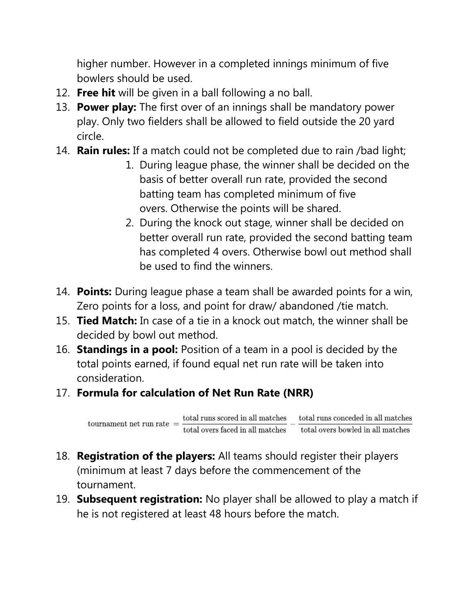higher number. However in a completed innings minimum of five bowlers should be used.

- 12. **Free hit** will be given in a ball following a no ball.
- 13. **Power play:** The first over of an innings shall be mandatory power play. Only two fielders shall be allowed to field outside the 20 yard circle.
- 14. **Rain rules:** If a match could not be completed due to rain /bad light;
	- 1. During league phase, the winner shall be decided on the basis of better overall run rate, provided the second batting team has completed minimum of five overs. Otherwise the points will be shared.
	- 2. During the knock out stage, winner shall be decided on better overall run rate, provided the second batting team has completed 4 overs. Otherwise bowl out method shall be used to find the winners.
- 14. **Points:** During league phase a team shall be awarded points for a win, Zero points for a loss, and point for draw/ abandoned /tie match.
- 15. **Tied Match:** In case of a tie in a knock out match, the winner shall be decided by bowl out method.
- 16. **Standings in a pool:** Position of a team in a pool is decided by the total points earned, if found equal net run rate will be taken into consideration.
- 17. **Formula for calculation of Net Run Rate (NRR)**

 $\text{ tournament net run rate } = \frac{\text{total runs scored in all matches}}{\text{total overs faced in all matches}} - \frac{\text{total runs concealed in all matches}}{\text{total overs showed in all matches}}$ 

- 18. **Registration of the players:** All teams should register their players (minimum at least 7 days before the commencement of the tournament.
- 19. **Subsequent registration:** No player shall be allowed to play a match if he is not registered at least 48 hours before the match.